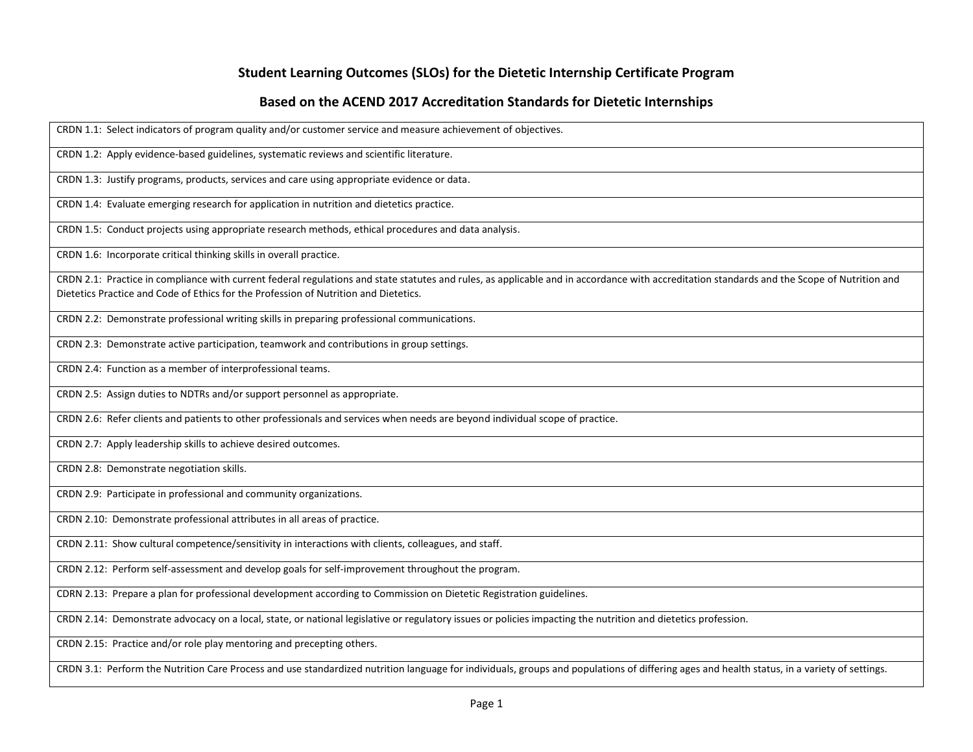## **Student Learning Outcomes (SLOs) for the Dietetic Internship Certificate Program**

## **Based on the ACEND 2017 Accreditation Standards for Dietetic Internships**

CRDN 1.1: Select indicators of program quality and/or customer service and measure achievement of objectives.

CRDN 1.2: Apply evidence-based guidelines, systematic reviews and scientific literature.

CRDN 1.3: Justify programs, products, services and care using appropriate evidence or data.

CRDN 1.4: Evaluate emerging research for application in nutrition and dietetics practice.

CRDN 1.5: Conduct projects using appropriate research methods, ethical procedures and data analysis.

CRDN 1.6: Incorporate critical thinking skills in overall practice.

CRDN 2.1: Practice in compliance with current federal regulations and state statutes and rules, as applicable and in accordance with accreditation standards and the Scope of Nutrition and Dietetics Practice and Code of Ethics for the Profession of Nutrition and Dietetics.

CRDN 2.2: Demonstrate professional writing skills in preparing professional communications.

CRDN 2.3: Demonstrate active participation, teamwork and contributions in group settings.

CRDN 2.4: Function as a member of interprofessional teams.

CRDN 2.5: Assign duties to NDTRs and/or support personnel as appropriate.

CRDN 2.6: Refer clients and patients to other professionals and services when needs are beyond individual scope of practice.

CRDN 2.7: Apply leadership skills to achieve desired outcomes.

CRDN 2.8: Demonstrate negotiation skills.

CRDN 2.9: Participate in professional and community organizations.

CRDN 2.10: Demonstrate professional attributes in all areas of practice.

CRDN 2.11: Show cultural competence/sensitivity in interactions with clients, colleagues, and staff.

CRDN 2.12: Perform self-assessment and develop goals for self-improvement throughout the program.

CDRN 2.13: Prepare a plan for professional development according to Commission on Dietetic Registration guidelines.

CRDN 2.14: Demonstrate advocacy on a local, state, or national legislative or regulatory issues or policies impacting the nutrition and dietetics profession.

CRDN 2.15: Practice and/or role play mentoring and precepting others.

CRDN 3.1: Perform the Nutrition Care Process and use standardized nutrition language for individuals, groups and populations of differing ages and health status, in a variety of settings.